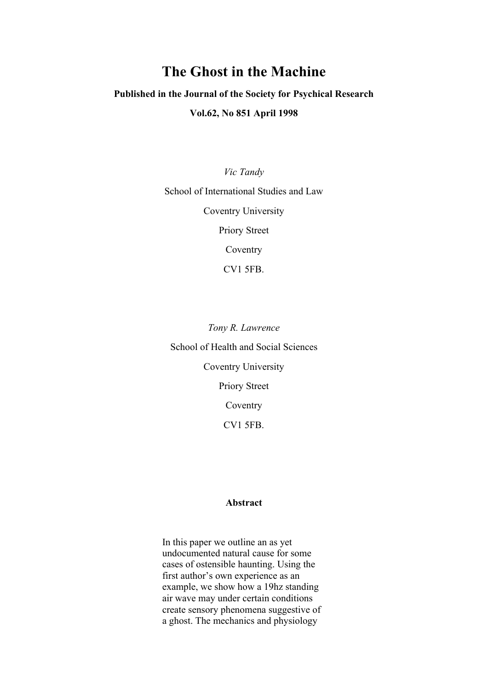# The Ghost in the Machine

## Published in the Journal of the Society for Psychical Research

### Vol.62, No 851 April 1998

*Vic Tandy* School of International Studies and Law Coventry University Priory Street Coventry CV1 5FB.

*Tony R. Lawrence* School of Health and Social Sciences Coventry University Priory Street Coventry CV1 5FB.

#### Abstract

In this paper we outline an as yet undocumented natural cause for some cases of ostensible haunting. Using the first author's own experience as an example, we show how a 19hz standing air wave may under certain conditions create sensory phenomena suggestive of a ghost. The mechanics and physiology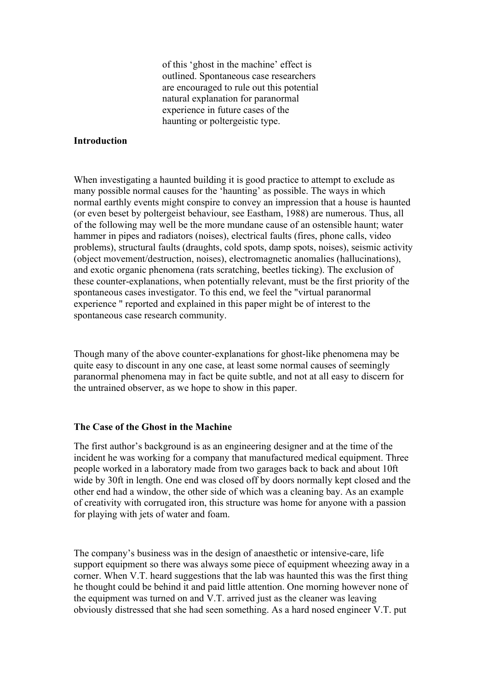of this 'ghost in the machine' effect is outlined. Spontaneous case researchers are encouraged to rule out this potential natural explanation for paranormal experience in future cases of the haunting or poltergeistic type.

## Introduction

When investigating a haunted building it is good practice to attempt to exclude as many possible normal causes for the 'haunting' as possible. The ways in which normal earthly events might conspire to convey an impression that a house is haunted (or even beset by poltergeist behaviour, see Eastham, 1988) are numerous. Thus, all of the following may well be the more mundane cause of an ostensible haunt; water hammer in pipes and radiators (noises), electrical faults (fires, phone calls, video problems), structural faults (draughts, cold spots, damp spots, noises), seismic activity (object movement/destruction, noises), electromagnetic anomalies (hallucinations), and exotic organic phenomena (rats scratching, beetles ticking). The exclusion of these counter-explanations, when potentially relevant, must be the first priority of the spontaneous cases investigator. To this end, we feel the "virtual paranormal experience " reported and explained in this paper might be of interest to the spontaneous case research community.

Though many of the above counter-explanations for ghost-like phenomena may be quite easy to discount in any one case, at least some normal causes of seemingly paranormal phenomena may in fact be quite subtle, and not at all easy to discern for the untrained observer, as we hope to show in this paper.

## The Case of the Ghost in the Machine

The first author's background is as an engineering designer and at the time of the incident he was working for a company that manufactured medical equipment. Three people worked in a laboratory made from two garages back to back and about 10ft wide by 30ft in length. One end was closed off by doors normally kept closed and the other end had a window, the other side of which was a cleaning bay. As an example of creativity with corrugated iron, this structure was home for anyone with a passion for playing with jets of water and foam.

The company's business was in the design of anaesthetic or intensive-care, life support equipment so there was always some piece of equipment wheezing away in a corner. When V.T. heard suggestions that the lab was haunted this was the first thing he thought could be behind it and paid little attention. One morning however none of the equipment was turned on and V.T. arrived just as the cleaner was leaving obviously distressed that she had seen something. As a hard nosed engineer V.T. put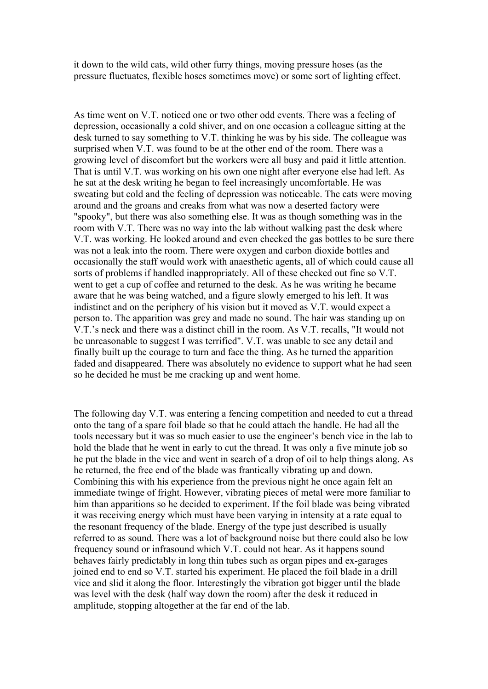it down to the wild cats, wild other furry things, moving pressure hoses (as the pressure fluctuates, flexible hoses sometimes move) or some sort of lighting effect.

As time went on V.T. noticed one or two other odd events. There was a feeling of depression, occasionally a cold shiver, and on one occasion a colleague sitting at the desk turned to say something to V.T. thinking he was by his side. The colleague was surprised when V.T. was found to be at the other end of the room. There was a growing level of discomfort but the workers were all busy and paid it little attention. That is until V.T. was working on his own one night after everyone else had left. As he sat at the desk writing he began to feel increasingly uncomfortable. He was sweating but cold and the feeling of depression was noticeable. The cats were moving around and the groans and creaks from what was now a deserted factory were "spooky", but there was also something else. It was as though something was in the room with V.T. There was no way into the lab without walking past the desk where V.T. was working. He looked around and even checked the gas bottles to be sure there was not a leak into the room. There were oxygen and carbon dioxide bottles and occasionally the staff would work with anaesthetic agents, all of which could cause all sorts of problems if handled inappropriately. All of these checked out fine so V.T. went to get a cup of coffee and returned to the desk. As he was writing he became aware that he was being watched, and a figure slowly emerged to his left. It was indistinct and on the periphery of his vision but it moved as V.T. would expect a person to. The apparition was grey and made no sound. The hair was standing up on V.T.'s neck and there was a distinct chill in the room. As V.T. recalls, "It would not be unreasonable to suggest I was terrified". V.T. was unable to see any detail and finally built up the courage to turn and face the thing. As he turned the apparition faded and disappeared. There was absolutely no evidence to support what he had seen so he decided he must be me cracking up and went home.

The following day V.T. was entering a fencing competition and needed to cut a thread onto the tang of a spare foil blade so that he could attach the handle. He had all the tools necessary but it was so much easier to use the engineer's bench vice in the lab to hold the blade that he went in early to cut the thread. It was only a five minute job so he put the blade in the vice and went in search of a drop of oil to help things along. As he returned, the free end of the blade was frantically vibrating up and down. Combining this with his experience from the previous night he once again felt an immediate twinge of fright. However, vibrating pieces of metal were more familiar to him than apparitions so he decided to experiment. If the foil blade was being vibrated it was receiving energy which must have been varying in intensity at a rate equal to the resonant frequency of the blade. Energy of the type just described is usually referred to as sound. There was a lot of background noise but there could also be low frequency sound or infrasound which V.T. could not hear. As it happens sound behaves fairly predictably in long thin tubes such as organ pipes and ex-garages joined end to end so V.T. started his experiment. He placed the foil blade in a drill vice and slid it along the floor. Interestingly the vibration got bigger until the blade was level with the desk (half way down the room) after the desk it reduced in amplitude, stopping altogether at the far end of the lab.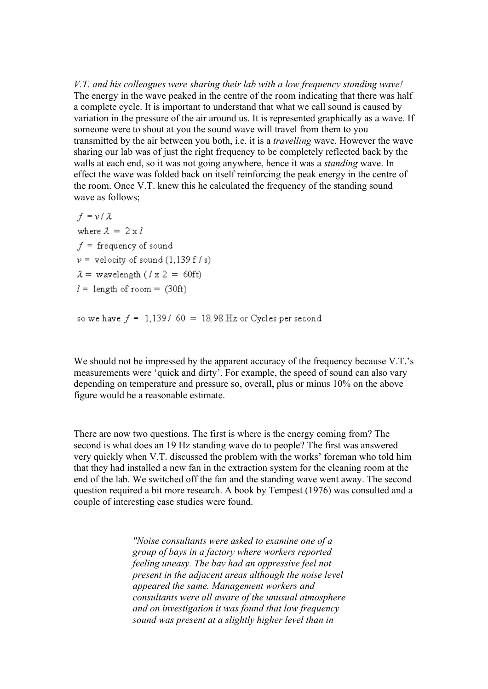*V.T. and his colleagues were sharing their lab with a low frequency standing wave!* The energy in the wave peaked in the centre of the room indicating that there was half a complete cycle. It is important to understand that what we call sound is caused by variation in the pressure of the air around us. It is represented graphically as a wave. If someone were to shout at you the sound wave will travel from them to you transmitted by the air between you both, i.e. it is a *travelling* wave. However the wave sharing our lab was of just the right frequency to be completely reflected back by the walls at each end, so it was not going anywhere, hence it was a *standing* wave. In effect the wave was folded back on itself reinforcing the peak energy in the centre of the room. Once V.T. knew this he calculated the frequency of the standing sound wave as follows;

 $f = v / \lambda$ where  $\lambda = 2 \times l$  $f =$  frequency of sound  $v =$  velocity of sound (1,139 f / s)  $\lambda$  = wavelength ( $l \times 2$  = 60ft)  $l =$  length of room = (30ft)

so we have  $f = 1,139/60 = 18.98$  Hz or Cycles per second

We should not be impressed by the apparent accuracy of the frequency because V.T.'s measurements were 'quick and dirty'. For example, the speed of sound can also vary depending on temperature and pressure so, overall, plus or minus 10% on the above figure would be a reasonable estimate.

There are now two questions. The first is where is the energy coming from? The second is what does an 19 Hz standing wave do to people? The first was answered very quickly when V.T. discussed the problem with the works' foreman who told him that they had installed a new fan in the extraction system for the cleaning room at the end of the lab. We switched off the fan and the standing wave went away. The second question required a bit more research. A book by Tempest (1976) was consulted and a couple of interesting case studies were found.

> *"Noise consultants were asked to examine one of a group of bays in a factory where workers reported feeling uneasy. The bay had an oppressive feel not present in the adjacent areas although the noise level appeared the same. Management workers and consultants were all aware of the unusual atmosphere and on investigation it was found that low frequency sound was present at a slightly higher level than in*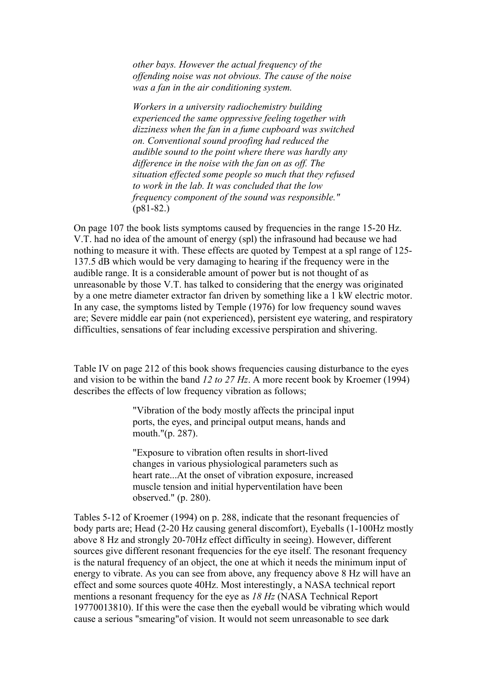*other bays. However the actual frequency of the offending noise was not obvious. The cause of the noise was a fan in the air conditioning system.*

*Workers in a university radiochemistry building experienced the same oppressive feeling together with dizziness when the fan in a fume cupboard was switched on. Conventional sound proofing had reduced the audible sound to the point where there was hardly any difference in the noise with the fan on as off. The situation effected some people so much that they refused to work in the lab. It was concluded that the low frequency component of the sound was responsible."* (p81-82.)

On page 107 the book lists symptoms caused by frequencies in the range 15-20 Hz. V.T. had no idea of the amount of energy (spl) the infrasound had because we had nothing to measure it with. These effects are quoted by Tempest at a spl range of 125- 137.5 dB which would be very damaging to hearing if the frequency were in the audible range. It is a considerable amount of power but is not thought of as unreasonable by those V.T. has talked to considering that the energy was originated by a one metre diameter extractor fan driven by something like a 1 kW electric motor. In any case, the symptoms listed by Temple (1976) for low frequency sound waves are; Severe middle ear pain (not experienced), persistent eye watering, and respiratory difficulties, sensations of fear including excessive perspiration and shivering.

Table IV on page 212 of this book shows frequencies causing disturbance to the eyes and vision to be within the band *12 to 27 Hz*. A more recent book by Kroemer (1994) describes the effects of low frequency vibration as follows;

> "Vibration of the body mostly affects the principal input ports, the eyes, and principal output means, hands and mouth."(p. 287).

> "Exposure to vibration often results in short-lived changes in various physiological parameters such as heart rate...At the onset of vibration exposure, increased muscle tension and initial hyperventilation have been observed." (p. 280).

Tables 5-12 of Kroemer (1994) on p. 288, indicate that the resonant frequencies of body parts are; Head (2-20 Hz causing general discomfort), Eyeballs (1-100Hz mostly above 8 Hz and strongly 20-70Hz effect difficulty in seeing). However, different sources give different resonant frequencies for the eye itself. The resonant frequency is the natural frequency of an object, the one at which it needs the minimum input of energy to vibrate. As you can see from above, any frequency above 8 Hz will have an effect and some sources quote 40Hz. Most interestingly, a NASA technical report mentions a resonant frequency for the eye as *18 Hz* (NASA Technical Report 19770013810). If this were the case then the eyeball would be vibrating which would cause a serious "smearing"of vision. It would not seem unreasonable to see dark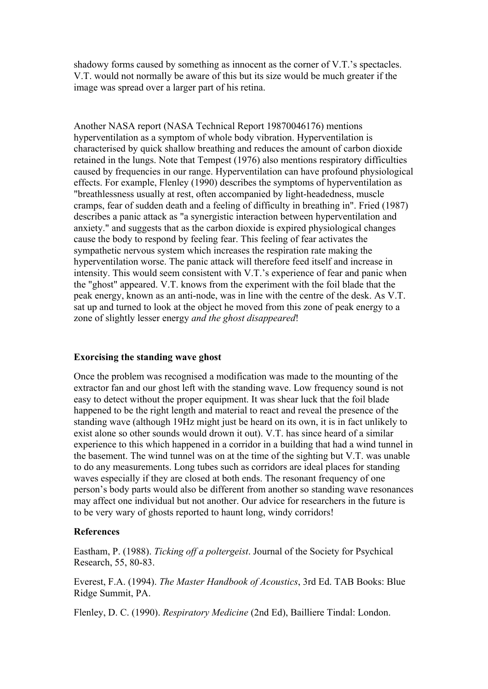shadowy forms caused by something as innocent as the corner of V.T.'s spectacles. V.T. would not normally be aware of this but its size would be much greater if the image was spread over a larger part of his retina.

Another NASA report (NASA Technical Report 19870046176) mentions hyperventilation as a symptom of whole body vibration. Hyperventilation is characterised by quick shallow breathing and reduces the amount of carbon dioxide retained in the lungs. Note that Tempest (1976) also mentions respiratory difficulties caused by frequencies in our range. Hyperventilation can have profound physiological effects. For example, Flenley (1990) describes the symptoms of hyperventilation as "breathlessness usually at rest, often accompanied by light-headedness, muscle cramps, fear of sudden death and a feeling of difficulty in breathing in". Fried (1987) describes a panic attack as "a synergistic interaction between hyperventilation and anxiety." and suggests that as the carbon dioxide is expired physiological changes cause the body to respond by feeling fear. This feeling of fear activates the sympathetic nervous system which increases the respiration rate making the hyperventilation worse. The panic attack will therefore feed itself and increase in intensity. This would seem consistent with V.T.'s experience of fear and panic when the "ghost" appeared. V.T. knows from the experiment with the foil blade that the peak energy, known as an anti-node, was in line with the centre of the desk. As V.T. sat up and turned to look at the object he moved from this zone of peak energy to a zone of slightly lesser energy *and the ghost disappeared*!

#### Exorcising the standing wave ghost

Once the problem was recognised a modification was made to the mounting of the extractor fan and our ghost left with the standing wave. Low frequency sound is not easy to detect without the proper equipment. It was shear luck that the foil blade happened to be the right length and material to react and reveal the presence of the standing wave (although 19Hz might just be heard on its own, it is in fact unlikely to exist alone so other sounds would drown it out). V.T. has since heard of a similar experience to this which happened in a corridor in a building that had a wind tunnel in the basement. The wind tunnel was on at the time of the sighting but V.T. was unable to do any measurements. Long tubes such as corridors are ideal places for standing waves especially if they are closed at both ends. The resonant frequency of one person's body parts would also be different from another so standing wave resonances may affect one individual but not another. Our advice for researchers in the future is to be very wary of ghosts reported to haunt long, windy corridors!

#### References

Eastham, P. (1988). *Ticking off a poltergeist*. Journal of the Society for Psychical Research, 55, 80-83.

Everest, F.A. (1994). *The Master Handbook of Acoustics*, 3rd Ed. TAB Books: Blue Ridge Summit, PA.

Flenley, D. C. (1990). *Respiratory Medicine* (2nd Ed), Bailliere Tindal: London.